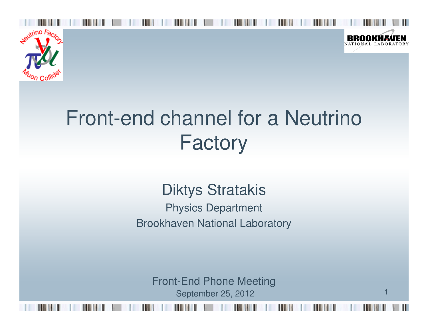



1

# Front-end channel for a Neutrino Factory

### Diktys Stratakis

 Physics DepartmentBrookhaven National Laboratory

Front-End Phone MeetingSeptember 25, 2012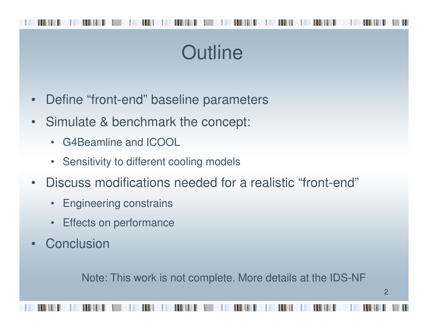# **Outline**

- •Define "front-end" baseline parameters
- • Simulate & benchmark the concept:
	- G4Beamline and ICOOL
	- Sensitivity to different cooling models
- • Discuss modifications needed for a realistic "front-end"
	- •Engineering constrains
	- •Effects on performance
- •**Conclusion**

Note: This work is not complete. More details at the IDS-NF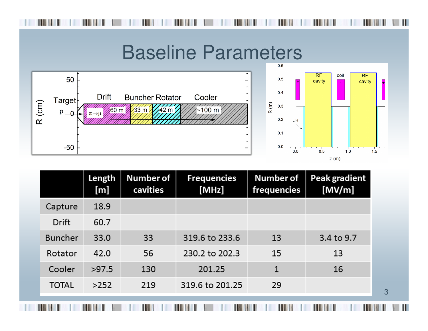### Baseline Parameters



|                | Length<br>[m] | <b>Number of</b><br>cavities | <b>Frequencies</b><br>[MHz] | Number of<br>frequencies | Peak gradient<br>[MV/m] |
|----------------|---------------|------------------------------|-----------------------------|--------------------------|-------------------------|
| Capture        | 18.9          |                              |                             |                          |                         |
| <b>Drift</b>   | 60.7          |                              |                             |                          |                         |
| <b>Buncher</b> | 33.0          | 33                           | 319.6 to 233.6              | 13                       | 3.4 to 9.7              |
| Rotator        | 42.0          | 56                           | 230.2 to 202.3              | 15                       | 13                      |
| Cooler         | >97.5         | 130                          | 201.25                      | 1                        | 16                      |
| <b>TOTAL</b>   | >252          | 219                          | 319.6 to 201.25             | 29                       |                         |
|                |               |                              |                             |                          |                         |

3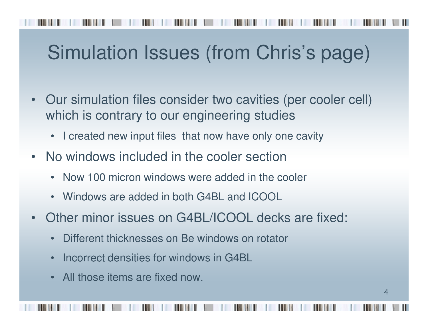# Simulation Issues (from Chris's page)

- • Our simulation files consider two cavities (per cooler cell) which is contrary to our engineering studies
	- •I created new input files that now have only one cavity
- • No windows included in the cooler section
	- Now 100 micron windows were added in the cooler
	- Windows are added in both G4BL and ICOOL
- • Other minor issues on G4BL/ICOOL decks are fixed:
	- •Different thicknesses on Be windows on rotator
	- $\bullet$ Incorrect densities for windows in G4BL
	- All those items are fixed now.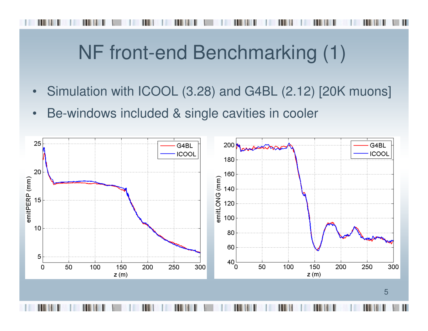# NF front-end Benchmarking (1)

- •Simulation with ICOOL (3.28) and G4BL (2.12) [20K muons]
- •Be-windows included & single cavities in cooler

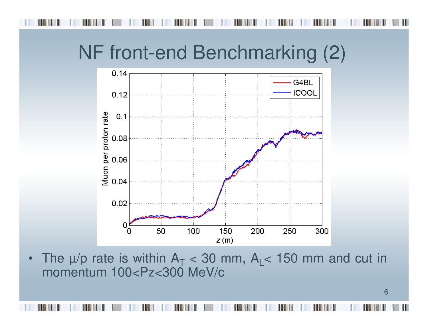## NF front-end Benchmarking (2)



•The  $\mu$ /p rate is within  $A_T$  momentum 100<Pz<300 MeV/c $_{\rm T}$  < 30 mm, A<sub>L</sub>< 150 mm and cut in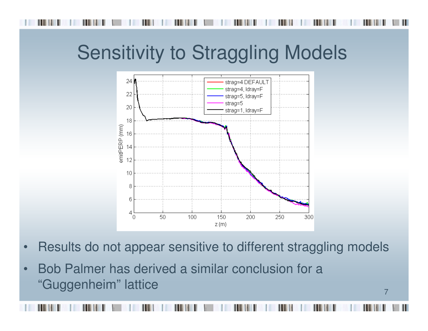# Sensitivity to Straggling Models



- •Results do not appear sensitive to different straggling models
- • Bob Palmer has derived a similar conclusion for a "Guggenheim" lattice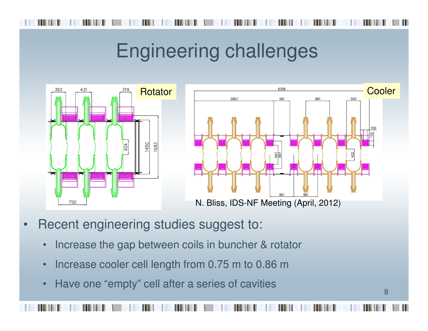## Engineering challenges





- • Recent engineering studies suggest to:
	- •Increase the gap between coils in buncher & rotator
	- •Increase cooler cell length from 0.75 m to 0.86 m
	- •Have one "empty" cell after a series of cavities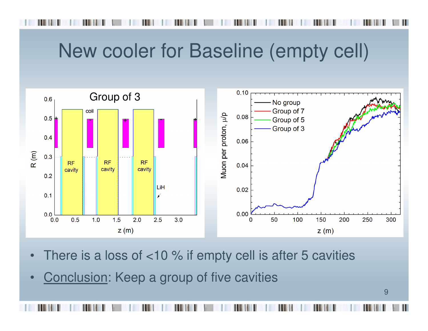## New cooler for Baseline (empty cell)



- •There is a loss of <10 % if empty cell is after 5 cavities
- •Conclusion: Keep a group of five cavities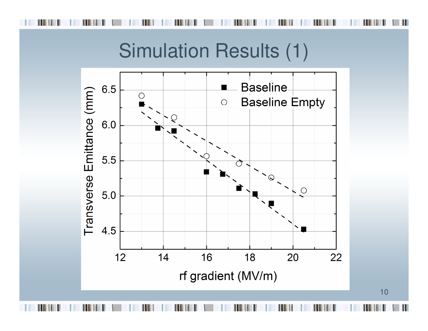

10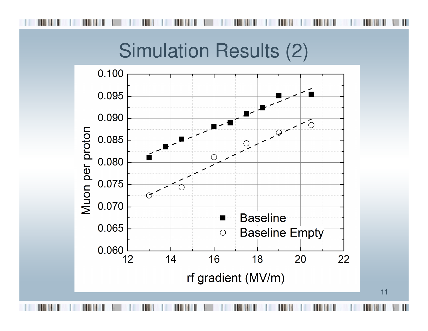

11